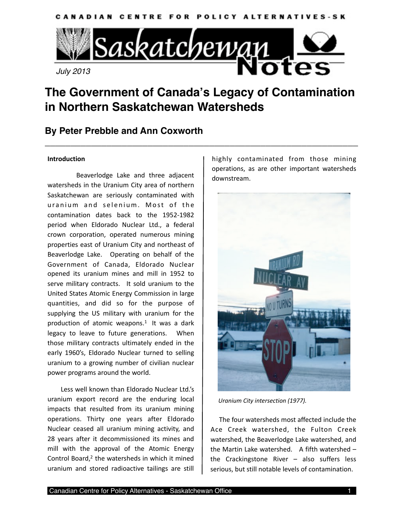



# **The Government of Canada's Legacy of Contamination in Northern Saskatchewan Watersheds**

**\_\_\_\_\_\_\_\_\_\_\_\_\_\_\_\_\_\_\_\_\_\_\_\_\_\_\_\_\_\_\_\_\_\_\_\_\_\_\_\_\_\_\_\_\_\_\_\_\_\_\_\_\_\_\_\_\_\_\_\_\_**

# **By Peter Prebble and Ann Coxworth**

### **Introduction**

 Beaverlodge Lake and three adjacent watersheds in the Uranium City area of northern Saskatchewan are seriously contaminated with uranium and selenium. Most of the contamination dates back to the 1952‐1982 period when Eldorado Nuclear Ltd., a federal crown corporation, operated numerous mining properties east of Uranium City and northeast of Beaverlodge Lake. Operating on behalf of the Government of Canada, Eldorado Nuclear opened its uranium mines and mill in 1952 to serve military contracts. It sold uranium to the United States Atomic Energy Commission in large quantities, and did so for the purpose of supplying the US military with uranium for the production of atomic weapons. $1$  It was a dark legacy to leave to future generations. When those military contracts ultimately ended in the early 1960's, Eldorado Nuclear turned to selling uranium to a growing number of civilian nuclear power programs around the world.

 Less well known than Eldorado Nuclear Ltd.'s uranium export record are the enduring local impacts that resulted from its uranium mining operations. Thirty one years after Eldorado Nuclear ceased all uranium mining activity, and 28 years after it decommissioned its mines and mill with the approval of the Atomic Energy Control Board,<sup>2</sup> the watersheds in which it mined uranium and stored radioactive tailings are still

highly contaminated from those mining operations, as are other important watersheds downstream.



*Uranium City intersection (1977).*

 The four watersheds most affected include the Ace Creek watershed, the Fulton Creek watershed, the Beaverlodge Lake watershed, and the Martin Lake watershed. A fifth watershed  $$ the Crackingstone River  $-$  also suffers less serious, but still notable levels of contamination.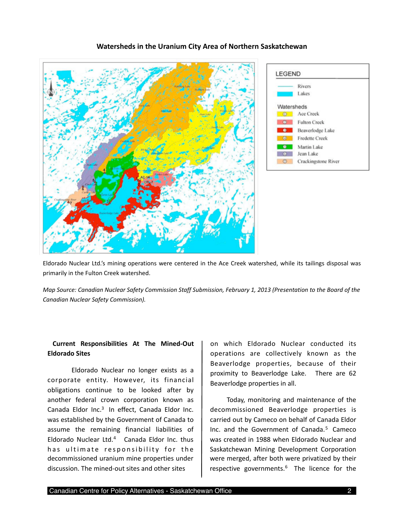## **Watersheds in the Uranium City Area of Northern Saskatchewan**





Eldorado Nuclear Ltd.'s mining operations were centered in the Ace Creek watershed, while its tailings disposal was primarily in the Fulton Creek watershed.

*Map Source: Canadian Nuclear Safety Commission Staff Submission, February 1, 2013 (Presentation to the Board of the Canadian Nuclear Safety Commission).* 

## **Current Responsibilities At The Mined‐Out Eldorado Sites**

 Eldorado Nuclear no longer exists as a corporate entity. However, its financial obligations continue to be looked after by another federal crown corporation known as Canada Eldor Inc.<sup>3</sup> In effect, Canada Eldor Inc. was established by the Government of Canada to assume the remaining financial liabilities of Eldorado Nuclear Ltd.<sup>[4](#page-8-3)</sup> Canada Eldor Inc. thus has ultimate responsibility for the decommissioned uranium mine properties under discussion. The mined‐out sites and other sites

on which Eldorado Nuclear conducted its operations are collectively known as the Beaverlodge properties, because of their proximity to Beaverlodge Lake. There are 62 Beaverlodge properties in all.

 Today, monitoring and maintenance of the decommissioned Beaverlodge properties is carried out by Cameco on behalf of Canada Eldor Inc. and the Government of Canada.<sup>[5](#page-8-4)</sup> Cameco was created in 1988 when Eldorado Nuclear and Saskatchewan Mining Development Corporation were merged, after both were privatized by their respective governments.<sup>[6](#page-8-5)</sup> The licence for the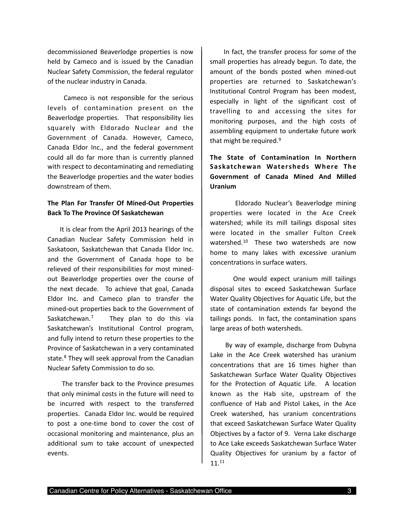decommissioned Beaverlodge properties is now held by Cameco and is issued by the Canadian Nuclear Safety Commission, the federal regulator of the nuclear industry in Canada.

 Cameco is not responsible for the serious levels of contamination present on the Beaverlodge properties. That responsibility lies squarely with Eldorado Nuclear and the Government of Canada. However, Cameco, Canada Eldor Inc., and the federal government could all do far more than is currently planned with respect to decontaminating and remediating the Beaverlodge properties and the water bodies downstream of them.

# **The Plan For Transfer Of Mined‐Out Properties Back To The Province Of Saskatchewan**

 It is clear from the April 2013 hearings of the Canadian Nuclear Safety Commission held in Saskatoon, Saskatchewan that Canada Eldor Inc. and the Government of Canada hope to be relieved of their responsibilities for most mined‐ out Beaverlodge properties over the course of the next decade. To achieve that goal, Canada Eldor Inc. and Cameco plan to transfer the mined‐out properties back to the Government of Saskatchewan.<sup>[7](#page-8-6)</sup> They plan to do this via Saskatchewan's Institutional Control program, and fully intend to return these properties to the Province of Saskatchewan in a very contaminated state.<sup>[8](#page-8-7)</sup> They will seek approval from the Canadian Nuclear Safety Commission to do so.

 The transfer back to the Province presumes that only minimal costs in the future will need to be incurred with respect to the transferred properties. Canada Eldor Inc. would be required to post a one‐time bond to cover the cost of occasional monitoring and maintenance, plus an additional sum to take account of unexpected events.

 In fact, the transfer process for some of the small properties has already begun. To date, the amount of the bonds posted when mined‐out properties are returned to Saskatchewan's Institutional Control Program has been modest, especially in light of the significant cost of travelling to and accessing the sites for monitoring purposes, and the high costs of assembling equipment to undertake future work that might be required. $9$ 

# **The State of Contamination In Northern Saskatchewan Watersheds Where The Government of Canada Mined And Milled Uranium**

 Eldorado Nuclear's Beaverlodge mining properties were located in the Ace Creek watershed; while its mill tailings disposal sites were located in the smaller Fulton Creek watershed.<sup>10</sup> These two watersheds are now home to many lakes with excessive uranium concentrations in surface waters.

 One would expect uranium mill tailings disposal sites to exceed Saskatchewan Surface Water Quality Objectives for Aquatic Life, but the state of contamination extends far beyond the tailings ponds. In fact, the contamination spans large areas of both watersheds.

 By way of example, discharge from Dubyna Lake in the Ace Creek watershed has uranium concentrations that are 16 times higher than Saskatchewan Surface Water Quality Objectives for the Protection of Aquatic Life. A location known as the Hab site, upstream of the confluence of Hab and Pistol Lakes, in the Ace Creek watershed, has uranium concentrations that exceed Saskatchewan Surface Water Quality Objectives by a factor of 9. Verna Lake discharge to Ace Lake exceeds Saskatchewan Surface Water Quality Objectives for uranium by a factor of 11.[11](#page-8-10)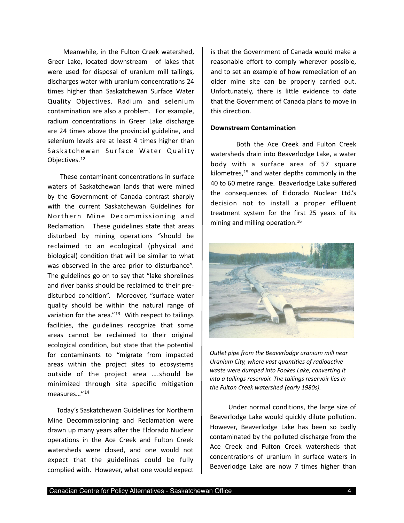Meanwhile, in the Fulton Creek watershed, Greer Lake, located downstream of lakes that were used for disposal of uranium mill tailings, discharges water with uranium concentrations 24 times higher than Saskatchewan Surface Water Quality Objectives. Radium and selenium contamination are also a problem. For example, radium concentrations in Greer Lake discharge are 24 times above the provincial guideline, and selenium levels are at least 4 times higher than Saskatchewan Surface Water Quality Objectives.[12](#page-8-11)

 These contaminant concentrations in surface waters of Saskatchewan lands that were mined by the Government of Canada contrast sharply with the current Saskatchewan Guidelines for Northern Mine Decommissioning and Reclamation. These guidelines state that areas disturbed by mining operations "should be reclaimed to an ecological (physical and biological) condition that will be similar to what was observed in the area prior to disturbance". The guidelines go on to say that "lake shorelines and river banks should be reclaimed to their pre‐ disturbed condition". Moreover, "surface water quality should be within the natural range of variation for the area." $13$  With respect to tailings facilities, the guidelines recognize that some areas cannot be reclaimed to their original ecological condition, but state that the potential for contaminants to "migrate from impacted areas within the project sites to ecosystems outside of the project area ….should be minimized through site specific mitigation measures…"[14](#page-8-13)

 Today's Saskatchewan Guidelines for Northern Mine Decommissioning and Reclamation were drawn up many years after the Eldorado Nuclear operations in the Ace Creek and Fulton Creek watersheds were closed, and one would not expect that the guidelines could be fully complied with. However, what one would expect

is that the Government of Canada would make a reasonable effort to comply wherever possible, and to set an example of how remediation of an older mine site can be properly carried out. Unfortunately, there is little evidence to date that the Government of Canada plans to move in this direction.

#### **Downstream Contamination**

 Both the Ace Creek and Fulton Creek watersheds drain into Beaverlodge Lake, a water body with a surface area of 57 square kilometres, $15$  and water depths commonly in the 40 to 60 metre range. Beaverlodge Lake suffered the consequences of Eldorado Nuclear Ltd.'s decision not to install a proper effluent treatment system for the first 25 years of its mining and milling operation.<sup>16</sup>



*Outlet pipe from the Beaverlodge uranium mill near Uranium City, where vast quantities of radioactive waste were dumped into Fookes Lake, converting it into a tailings reservoir. The tailings reservoir lies in the Fulton Creek watershed (early 1980s).*

 Under normal conditions, the large size of Beaverlodge Lake would quickly dilute pollution. However, Beaverlodge Lake has been so badly contaminated by the polluted discharge from the Ace Creek and Fulton Creek watersheds that concentrations of uranium in surface waters in Beaverlodge Lake are now 7 times higher than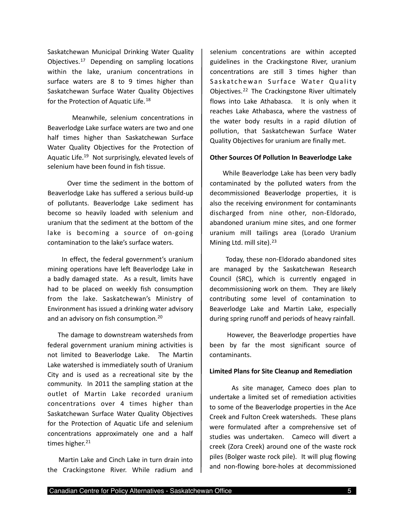Saskatchewan Municipal Drinking Water Quality Objectives. $17$  Depending on sampling locations within the lake, uranium concentrations in surface waters are 8 to 9 times higher than Saskatchewan Surface Water Quality Objectives for the Protection of Aquatic Life.<sup>[18](#page-9-0)</sup>

 Meanwhile, selenium concentrations in Beaverlodge Lake surface waters are two and one half times higher than Saskatchewan Surface Water Quality Objectives for the Protection of Aquatic Life[.19](#page-9-1) Not surprisingly, elevated levels of selenium have been found in fish tissue.

 Over time the sediment in the bottom of Beaverlodge Lake has suffered a serious build‐up of pollutants. Beaverlodge Lake sediment has become so heavily loaded with selenium and uranium that the sediment at the bottom of the lake is becoming a source of on-going contamination to the lake's surface waters.

 In effect, the federal government's uranium mining operations have left Beaverlodge Lake in a badly damaged state. As a result, limits have had to be placed on weekly fish consumption from the lake. Saskatchewan's Ministry of Environment has issued a drinking water advisory and an advisory on fish consumption.[20](#page-9-2)

 The damage to downstream watersheds from federal government uranium mining activities is not limited to Beaverlodge Lake. The Martin Lake watershed is immediately south of Uranium City and is used as a recreational site by the community. In 2011 the sampling station at the outlet of Martin Lake recorded uranium concentrations over 4 times higher than Saskatchewan Surface Water Quality Objectives for the Protection of Aquatic Life and selenium concentrations approximately one and a half times higher.<sup>[21](#page-9-3)</sup>

 Martin Lake and Cinch Lake in turn drain into the Crackingstone River. While radium and selenium concentrations are within accepted guidelines in the Crackingstone River, uranium concentrations are still 3 times higher than Saskatchewan Surface Water Quality Objectives.[22](#page-9-4) The Crackingstone River ultimately flows into Lake Athabasca. It is only when it reaches Lake Athabasca, where the vastness of the water body results in a rapid dilution of pollution, that Saskatchewan Surface Water Quality Objectives for uranium are finally met.

#### **Other Sources Of Pollution In Beaverlodge Lake**

 While Beaverlodge Lake has been very badly contaminated by the polluted waters from the decommissioned Beaverlodge properties, it is also the receiving environment for contaminants discharged from nine other, non‐Eldorado, abandoned uranium mine sites, and one former uranium mill tailings area (Lorado Uranium Mining Ltd. mill site).<sup>[23](#page-9-5)</sup>

 Today, these non‐Eldorado abandoned sites are managed by the Saskatchewan Research Council (SRC), which is currently engaged in decommissioning work on them. They are likely contributing some level of contamination to Beaverlodge Lake and Martin Lake, especially during spring runoff and periods of heavy rainfall.

 However, the Beaverlodge properties have been by far the most significant source of contaminants.

#### **Limited Plans for Site Cleanup and Remediation**

 As site manager, Cameco does plan to undertake a limited set of remediation activities to some of the Beaverlodge properties in the Ace Creek and Fulton Creek watersheds. These plans were formulated after a comprehensive set of studies was undertaken. Cameco will divert a creek (Zora Creek) around one of the waste rock piles (Bolger waste rock pile). It will plug flowing and non‐flowing bore‐holes at decommissioned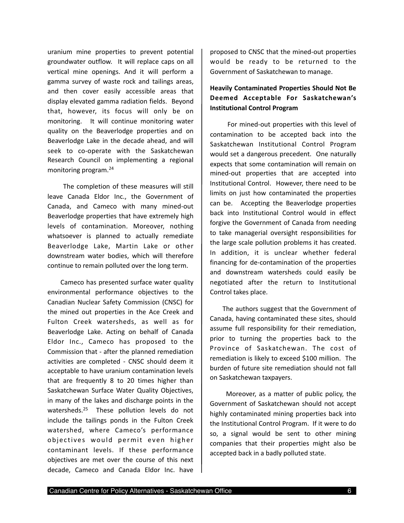uranium mine properties to prevent potential groundwater outflow. It will replace caps on all vertical mine openings. And it will perform a gamma survey of waste rock and tailings areas, and then cover easily accessible areas that display elevated gamma radiation fields. Beyond that, however, its focus will only be on monitoring. It will continue monitoring water quality on the Beaverlodge properties and on Beaverlodge Lake in the decade ahead, and will seek to co-operate with the Saskatchewan Research Council on implementing a regional monitoring program.[24](#page-9-6)

 The completion of these measures will still leave Canada Eldor Inc., the Government of Canada, and Cameco with many mined‐out Beaverlodge properties that have extremely high levels of contamination. Moreover, nothing whatsoever is planned to actually remediate Beaverlodge Lake, Martin Lake or other downstream water bodies, which will therefore continue to remain polluted over the long term.

 Cameco has presented surface water quality environmental performance objectives to the Canadian Nuclear Safety Commission (CNSC) for the mined out properties in the Ace Creek and Fulton Creek watersheds, as well as for Beaverlodge Lake. Acting on behalf of Canada Eldor Inc., Cameco has proposed to the Commission that ‐ after the planned remediation activities are completed ‐ CNSC should deem it acceptable to have uranium contamination levels that are frequently 8 to 20 times higher than Saskatchewan Surface Water Quality Objectives, in many of the lakes and discharge points in the watersheds.<sup>25</sup> These pollution levels do not include the tailings ponds in the Fulton Creek watershed, where Cameco's performance objectives would permit even higher contaminant levels. If these performance objectives are met over the course of this next decade, Cameco and Canada Eldor Inc. have proposed to CNSC that the mined‐out properties would be ready to be returned to the Government of Saskatchewan to manage.

# **Heavily Contaminated Properties Should Not Be Deemed Acceptable For Saskatchewan's Institutional Control Program**

 For mined‐out properties with this level of contamination to be accepted back into the Saskatchewan Institutional Control Program would set a dangerous precedent. One naturally expects that some contamination will remain on mined‐out properties that are accepted into Institutional Control. However, there need to be limits on just how contaminated the properties can be. Accepting the Beaverlodge properties back into Institutional Control would in effect forgive the Government of Canada from needing to take managerial oversight responsibilities for the large scale pollution problems it has created. In addition, it is unclear whether federal financing for de‐contamination of the properties and downstream watersheds could easily be negotiated after the return to Institutional Control takes place.

 The authors suggest that the Government of Canada, having contaminated these sites, should assume full responsibility for their remediation, prior to turning the properties back to the Province of Saskatchewan. The cost of remediation is likely to exceed \$100 million. The burden of future site remediation should not fall on Saskatchewan taxpayers.

Moreover, as a matter of public policy, the Government of Saskatchewan should not accept highly contaminated mining properties back into the Institutional Control Program. If it were to do so, a signal would be sent to other mining companies that their properties might also be accepted back in a badly polluted state.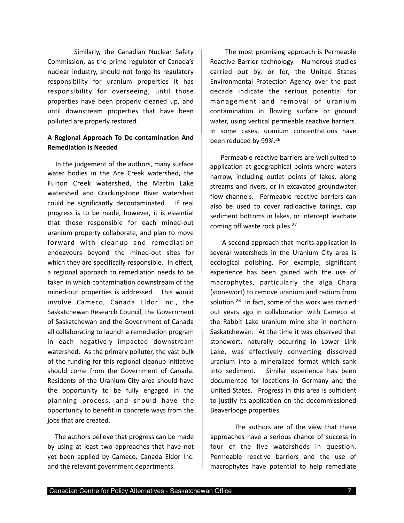Similarly, the Canadian Nuclear Safety Commission, as the prime regulator of Canada's nuclear industry, should not forgo its regulatory responsibility for uranium properties it has responsibility for overseeing, until those properties have been properly cleaned up, and until downstream properties that have been polluted are properly restored.

# **A Regional Approach To De‐contamination And Remediation Is Needed**

 In the judgement of the authors, many surface water bodies in the Ace Creek watershed, the Fulton Creek watershed, the Martin Lake watershed and Crackingstone River watershed could be significantly decontaminated. If real progress is to be made, however, it is essential that those responsible for each mined‐out uranium property collaborate, and plan to move forward with cleanup and remediation endeavours beyond the mined‐out sites for which they are specifically responsible. In effect, a regional approach to remediation needs to be taken in which contamination downstream of the mined-out properties is addressed. This would involve Cameco, Canada Eldor Inc., the Saskatchewan Research Council, the Government of Saskatchewan and the Government of Canada all collaborating to launch a remediation program in each negatively impacted downstream watershed. As the primary polluter, the vast bulk of the funding for this regional cleanup initiative should come from the Government of Canada. Residents of the Uranium City area should have the opportunity to be fully engaged in the planning process, and should have the opportunity to benefit in concrete ways from the jobs that are created.

 The authors believe that progress can be made by using at least two approaches that have not yet been applied by Cameco, Canada Eldor Inc. and the relevant government departments.

 The most promising approach is Permeable Reactive Barrier technology. Numerous studies carried out by, or for, the United States Environmental Protection Agency over the past decade indicate the serious potential for management and removal of uranium contamination in flowing surface or ground water, using vertical permeable reactive barriers. In some cases, uranium concentrations have been reduced by 99%.[26](#page-9-8)

 Permeable reactive barriers are well suited to application at geographical points where waters narrow, including outlet points of lakes, along streams and rivers, or in excavated groundwater flow channels. Permeable reactive barriers can also be used to cover radioactive tailings, cap sediment bottoms in lakes, or intercept leachate coming off waste rock piles.<sup>27</sup>

 A second approach that merits application in several watersheds in the Uranium City area is ecological polishing. For example, significant experience has been gained with the use of macrophytes, particularly the alga Chara (stonewort) to remove uranium and radium from solution.[28](#page-9-10)  In fact, some of this work was carried out years ago in collaboration with Cameco at the Rabbit Lake uranium mine site in northern Saskatchewan. At the time it was observed that stonewort, naturally occurring in Lower Link Lake, was effectively converting dissolved uranium into a mineralized format which sank into sediment. Similar experience has been documented for locations in Germany and the United States. Progress in this area is sufficient to justify its application on the decommissioned Beaverlodge properties.

 The authors are of the view that these approaches have a serious chance of success in four of the five watersheds in question. Permeable reactive barriers and the use of macrophytes have potential to help remediate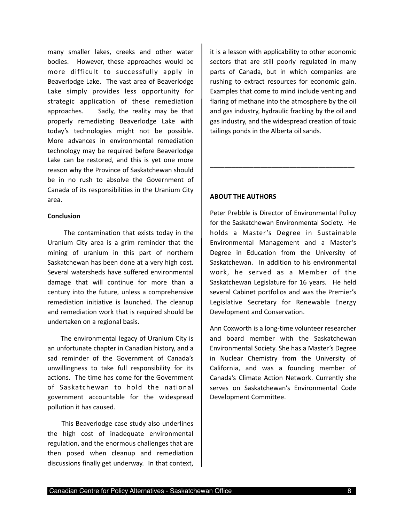many smaller lakes, creeks and other water bodies. However, these approaches would be more difficult to successfully apply in Beaverlodge Lake. The vast area of Beaverlodge Lake simply provides less opportunity for strategic application of these remediation approaches. Sadly, the reality may be that properly remediating Beaverlodge Lake with today's technologies might not be possible. More advances in environmental remediation technology may be required before Beaverlodge Lake can be restored, and this is yet one more reason why the Province of Saskatchewan should be in no rush to absolve the Government of Canada of its responsibilities in the Uranium City area.

#### **Conclusion**

 The contamination that exists today in the Uranium City area is a grim reminder that the mining of uranium in this part of northern Saskatchewan has been done at a very high cost. Several watersheds have suffered environmental damage that will continue for more than a century into the future, unless a comprehensive remediation initiative is launched. The cleanup and remediation work that is required should be undertaken on a regional basis.

 The environmental legacy of Uranium City is an unfortunate chapter in Canadian history, and a sad reminder of the Government of Canada's unwillingness to take full responsibility for its actions. The time has come for the Government of Saskatchewan to hold the national government accountable for the widespread pollution it has caused.

 This Beaverlodge case study also underlines the high cost of inadequate environmental regulation, and the enormous challenges that are then posed when cleanup and remediation discussions finally get underway. In that context,

it is a lesson with applicability to other economic sectors that are still poorly regulated in many parts of Canada, but in which companies are rushing to extract resources for economic gain. Examples that come to mind include venting and flaring of methane into the atmosphere by the oil and gas industry, hydraulic fracking by the oil and gas industry, and the widespread creation of toxic tailings ponds in the Alberta oil sands.

**\_\_\_\_\_\_\_\_\_\_\_\_\_\_\_\_\_\_\_\_\_\_\_\_\_\_\_\_\_\_\_\_\_\_\_\_\_\_\_\_**

## **ABOUT THE AUTHORS**

Peter Prebble is Director of Environmental Policy for the Saskatchewan Environmental Society. He holds a Master's Degree in Sustainable Environmental Management and a Master's Degree in Education from the University of Saskatchewan. In addition to his environmental work, he served as a Member of the Saskatchewan Legislature for 16 years. He held several Cabinet portfolios and was the Premier's Legislative Secretary for Renewable Energy Development and Conservation.

Ann Coxworth is a long‐time volunteer researcher and board member with the Saskatchewan Environmental Society. She has a Master's Degree in Nuclear Chemistry from the University of California, and was a founding member of Canada's Climate Action Network. Currently she serves on Saskatchewan's Environmental Code Development Committee.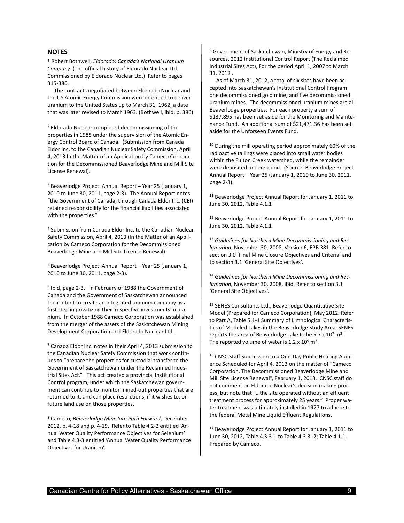#### **NOTES**

<span id="page-8-0"></span><sup>1</sup> Robert Bothwell, *Eldorado: Canada's National Uranium Company* (The official history of Eldorado Nuclear Ltd. Commissioned by Eldorado Nuclear Ltd.) Refer to pages 315‐386.

 The contracts negotiated between Eldorado Nuclear and the US Atomic Energy Commission were intended to deliver uranium to the United States up to March 31, 1962, a date that was later revised to March 1963. (Bothwell, ibid, p. 386)

<span id="page-8-1"></span>2 Eldorado Nuclear completed decommissioning of the properties in 1985 under the supervision of the Atomic En‐ ergy Control Board of Canada. (Submission from Canada Eldor Inc. to the Canadian Nuclear Safety Commission, April 4, 2013 In the Matter of an Application by Cameco Corpora‐ tion for the Decommissioned Beaverlodge Mine and Mill Site License Renewal).

<span id="page-8-2"></span> $3$  Beaverlodge Project Annual Report – Year 25 (January 1, 2010 to June 30, 2011, page 2‐3). The Annual Report notes: "the Government of Canada, through Canada Eldor Inc. (CEI) retained responsibility for the financial liabilities associated with the properties."

<span id="page-8-3"></span>4 Submission from Canada Eldor Inc. to the Canadian Nuclear Safety Commission, April 4, 2013 (In the Matter of an Appli‐ cation by Cameco Corporation for the Decommissioned Beaverlodge Mine and Mill Site License Renewal).

<span id="page-8-4"></span>5 Beaverlodge Project Annual Report – Year 25 (January 1, 2010 to June 30, 2011, page 2‐3).

<span id="page-8-5"></span>6 Ibid, page 2‐3. In February of 1988 the Government of Canada and the Government of Saskatchewan announced their intent to create an integrated uranium company as a first step in privatizing their respective investments in uranium. In October 1988 Cameco Corporation was established from the merger of the assets of the Saskatchewan Mining Development Corporation and Eldorado Nuclear Ltd.

<span id="page-8-6"></span>7 Canada Eldor Inc. notes in their April 4, 2013 submission to the Canadian Nuclear Safety Commission that work contin‐ ues to "prepare the properties for custodial transfer to the Government of Saskatchewan under the Reclaimed Indus‐ trial Sites Act." This act created a provincial Institutional Control program, under which the Saskatchewan govern‐ ment can continue to monitor mined‐out properties that are returned to it, and can place restrictions, if it wishes to, on future land use on those properties.

<span id="page-8-7"></span>8 Cameco, *Beaverlodge Mine Site Path Forward*, December 2012, p. 4‐18 and p. 4‐19. Refer to Table 4.2‐2 entitled 'An‐ nual Water Quality Performance Objectives for Selenium' and Table 4.3‐3 entitled 'Annual Water Quality Performance Objectives for Uranium'.

<span id="page-8-8"></span><sup>9</sup> Government of Saskatchewan, Ministry of Energy and Resources, 2012 Institutional Control Report (The Reclaimed Industrial Sites Act), For the period April 1, 2007 to March 31, 2012 .

 As of March 31, 2012, a total of six sites have been ac‐ cepted into Saskatchewan's Institutional Control Program: one decommissioned gold mine, and five decommissioned uranium mines. The decommissioned uranium mines are all Beaverlodge properties. For each property a sum of \$137,895 has been set aside for the Monitoring and Maintenance Fund. An additional sum of \$21,471.36 has been set aside for the Unforseen Events Fund.

<span id="page-8-9"></span><sup>10</sup> During the mill operating period approximately 60% of the radioactive tailings were placed into small water bodies within the Fulton Creek watershed, while the remainder were deposited underground. (Source: Beaverlodge Project Annual Report – Year 25 (January 1, 2010 to June 30, 2011, page 2‐3).

<span id="page-8-10"></span><sup>11</sup> Beaverlodge Project Annual Report for January 1, 2011 to June 30, 2012, Table 4.1.1

<span id="page-8-11"></span><sup>12</sup> Beaverlodge Project Annual Report for January 1, 2011 to June 30, 2012, Table 4.1.1

<span id="page-8-12"></span><sup>13</sup> *Guidelines for Northern Mine Decommissioning and Rec‐ lamation*, November 30, 2008, Version 6, EPB 381. Refer to section 3.0 'Final Mine Closure Objectives and Criteria' and to section 3.1 'General Site Objectives'.

<span id="page-8-13"></span><sup>14</sup> *Guidelines for Northern Mine Decommissioning and Rec‐ lamation,* November 30, 2008, ibid. Refer to section 3.1 'General Site Objectives'.

<span id="page-8-14"></span><sup>15</sup> SENES Consultants Ltd., Beaverlodge Quantitative Site Model (Prepared for Cameco Corporation), May 2012. Refer to Part A, Table 5.1‐1 Summary of Limnological Characteris‐ tics of Modeled Lakes in the Beaverlodge Study Area. SENES reports the area of Beaverlodge Lake to be  $5.7 \times 10^7$  m<sup>2</sup>. The reported volume of water is  $1.2 \times 10^9$  m<sup>3</sup>.

<span id="page-8-15"></span>16 CNSC Staff Submission to a One‐Day Public Hearing Audi‐ ence Scheduled for April 4, 2013 on the matter of "Cameco Corporation, The Decommissioned Beaverlodge Mine and Mill Site License Renewal", February 1, 2013. CNSC staff do not comment on Eldorado Nuclear's decision making proc‐ ess, but note that "…the site operated without an effluent treatment process for approximately 25 years." Proper wa‐ ter treatment was ultimately installed in 1977 to adhere to the federal Metal Mine Liquid Effluent Regulations.

<span id="page-8-16"></span>17 Beaverlodge Project Annual Report for January 1, 2011 to June 30, 2012, Table 4.3.3‐1 to Table 4.3.3.‐2; Table 4.1.1. Prepared by Cameco.